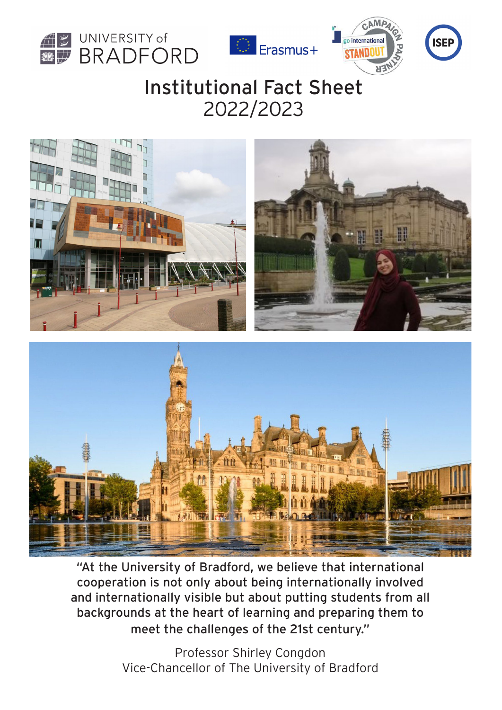







# Institutional Fact Sheet 2022/2023



"At the University of Bradford, we believe that international cooperation is not only about being internationally involved and internationally visible but about putting students from all backgrounds at the heart of learning and preparing them to meet the challenges of the 21st century."

> Professor Shirley Congdon Vice-Chancellor of The University of Bradford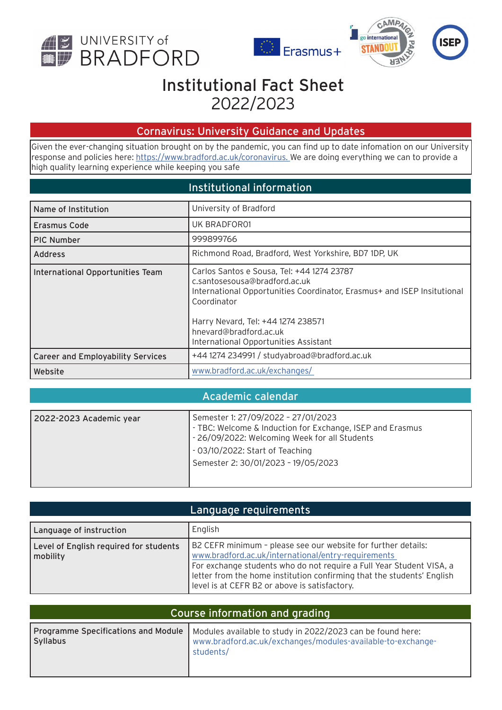







# Institutional Fact Sheet 2022/2023

#### Cornavirus: University Guidance and Updates

Given the ever-changing situation brought on by the pandemic, you can find up to date infomation on our University response and policies here: [https://www.bradford.ac.uk/coronavirus](https://www.bradford.ac.uk/coronavirus/ ). We are doing everything we can to provide a [high quality](http://We are doing everything we can to provide a high quality ) [learning experience while keeping you safe](http://learning experience while keeping you safe)

#### Institutional information

| Name of Institution                      | University of Bradford                                                                                                                                                                                                                                                         |
|------------------------------------------|--------------------------------------------------------------------------------------------------------------------------------------------------------------------------------------------------------------------------------------------------------------------------------|
| <b>Erasmus Code</b>                      | UK BRADFOR01                                                                                                                                                                                                                                                                   |
| <b>PIC Number</b>                        | 999899766                                                                                                                                                                                                                                                                      |
| <b>Address</b>                           | Richmond Road, Bradford, West Yorkshire, BD7 1DP, UK                                                                                                                                                                                                                           |
| International Opportunities Team         | Carlos Santos e Sousa, Tel: +44 1274 23787<br>c.santosesousa@bradford.ac.uk<br>International Opportunities Coordinator, Erasmus+ and ISEP Insitutional<br>Coordinator<br>Harry Nevard, Tel: +44 1274 238571<br>hnevard@bradford.ac.uk<br>International Opportunities Assistant |
| <b>Career and Employability Services</b> | +44 1274 234991 / studyabroad@bradford.ac.uk                                                                                                                                                                                                                                   |
| Website                                  | www.bradford.ac.uk/exchanges/                                                                                                                                                                                                                                                  |

#### Academic calendar

| 2022-2023 Academic year | Semester 1: 27/09/2022 - 27/01/2023                       |
|-------------------------|-----------------------------------------------------------|
|                         | - TBC: Welcome & Induction for Exchange, ISEP and Erasmus |
|                         | - 26/09/2022: Welcoming Week for all Students             |
|                         | - 03/10/2022: Start of Teaching                           |
|                         | Semester 2: 30/01/2023 - 19/05/2023                       |
|                         |                                                           |
|                         |                                                           |

| Language requirements                              |                                                                                                                                                                                                                                                                                                                         |
|----------------------------------------------------|-------------------------------------------------------------------------------------------------------------------------------------------------------------------------------------------------------------------------------------------------------------------------------------------------------------------------|
| Language of instruction                            | English                                                                                                                                                                                                                                                                                                                 |
| Level of English required for students<br>mobility | B2 CEFR minimum - please see our website for further details:<br>www.bradford.ac.uk/international/entry-requirements<br>For exchange students who do not require a Full Year Student VISA, a<br>letter from the home institution confirming that the students' English<br>level is at CEFR B2 or above is satisfactory. |

| Course information and grading |                                                                                                                                                                              |
|--------------------------------|------------------------------------------------------------------------------------------------------------------------------------------------------------------------------|
| <b>Syllabus</b>                | Programme Specifications and Module   Modules available to study in 2022/2023 can be found here:<br>www.bradford.ac.uk/exchanges/modules-available-to-exchange-<br>students/ |